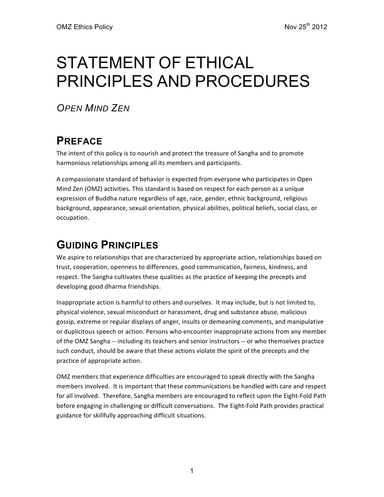# STATEMENT OF ETHICAL PRINCIPLES AND PROCEDURES

*OPEN MIND ZEN*

## **PREFACE**

The intent of this policy is to nourish and protect the treasure of Sangha and to promote harmonious relationships among all its members and participants.

A compassionate standard of behavior is expected from everyone who participates in Open Mind Zen (OMZ) activities. This standard is based on respect for each person as a unique expression of Buddha nature regardless of age, race, gender, ethnic background, religious background, appearance, sexual orientation, physical abilities, political beliefs, social class, or occupation.

## **GUIDING PRINCIPLES**

We aspire to relationships that are characterized by appropriate action, relationships based on trust, cooperation, openness to differences, good communication, fairness, kindness, and respect. The Sangha cultivates these qualities as the practice of keeping the precepts and developing good dharma friendships.

Inappropriate action is harmful to others and ourselves. It may include, but is not limited to, physical violence, sexual misconduct or harassment, drug and substance abuse, malicious gossip, extreme or regular displays of anger, insults or demeaning comments, and manipulative or duplicitous speech or action. Persons who encounter inappropriate actions from any member of the OMZ Sangha -- including its teachers and senior instructors -- or who themselves practice such conduct, should be aware that these actions violate the spirit of the precepts and the practice of appropriate action.

OMZ members that experience difficulties are encouraged to speak directly with the Sangha members involved. It is important that these communications be handled with care and respect for all involved. Therefore, Sangha members are encouraged to reflect upon the Eight-Fold Path before engaging in challenging or difficult conversations. The Eight-Fold Path provides practical guidance for skillfully approaching difficult situations.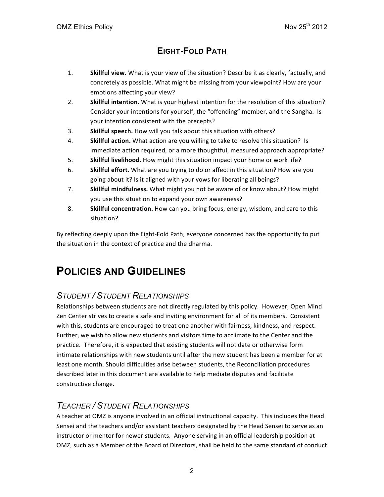### **EIGHT-FOLD PATH**

- 1. Skillful view. What is your view of the situation? Describe it as clearly, factually, and concretely as possible. What might be missing from your viewpoint? How are your emotions affecting your view?
- 2. **Skillful intention.** What is your highest intention for the resolution of this situation? Consider your intentions for yourself, the "offending" member, and the Sangha. Is your intention consistent with the precepts?
- 3. Skillful speech. How will you talk about this situation with others?
- 4. **Skillful action.** What action are you willing to take to resolve this situation? Is immediate action required, or a more thoughtful, measured approach appropriate?
- 5. **Skillful livelihood.** How might this situation impact your home or work life?
- 6. **Skillful effort.** What are you trying to do or affect in this situation? How are you going about it? Is it aligned with your vows for liberating all beings?
- 7. **Skillful mindfulness.** What might you not be aware of or know about? How might you use this situation to expand your own awareness?
- 8. **Skillful concentration.** How can you bring focus, energy, wisdom, and care to this situation?

By reflecting deeply upon the Eight-Fold Path, everyone concerned has the opportunity to put the situation in the context of practice and the dharma.

## **POLICIES AND GUIDELINES**

#### *STUDENT / STUDENT RELATIONSHIPS*

Relationships between students are not directly regulated by this policy. However, Open Mind Zen Center strives to create a safe and inviting environment for all of its members. Consistent with this, students are encouraged to treat one another with fairness, kindness, and respect. Further, we wish to allow new students and visitors time to acclimate to the Center and the practice. Therefore, it is expected that existing students will not date or otherwise form intimate relationships with new students until after the new student has been a member for at least one month. Should difficulties arise between students, the Reconciliation procedures described later in this document are available to help mediate disputes and facilitate constructive change.

#### *TEACHER / STUDENT RELATIONSHIPS*

A teacher at OMZ is anyone involved in an official instructional capacity. This includes the Head Sensei and the teachers and/or assistant teachers designated by the Head Sensei to serve as an instructor or mentor for newer students. Anyone serving in an official leadership position at OMZ, such as a Member of the Board of Directors, shall be held to the same standard of conduct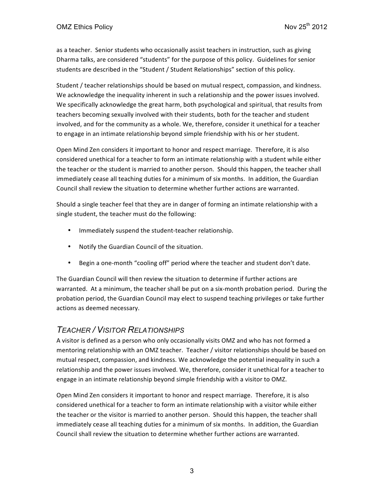as a teacher. Senior students who occasionally assist teachers in instruction, such as giving Dharma talks, are considered "students" for the purpose of this policy. Guidelines for senior students are described in the "Student / Student Relationships" section of this policy.

Student / teacher relationships should be based on mutual respect, compassion, and kindness. We acknowledge the inequality inherent in such a relationship and the power issues involved. We specifically acknowledge the great harm, both psychological and spiritual, that results from teachers becoming sexually involved with their students, both for the teacher and student involved, and for the community as a whole. We, therefore, consider it unethical for a teacher to engage in an intimate relationship beyond simple friendship with his or her student.

Open Mind Zen considers it important to honor and respect marriage. Therefore, it is also considered unethical for a teacher to form an intimate relationship with a student while either the teacher or the student is married to another person. Should this happen, the teacher shall immediately cease all teaching duties for a minimum of six months. In addition, the Guardian Council shall review the situation to determine whether further actions are warranted.

Should a single teacher feel that they are in danger of forming an intimate relationship with a single student, the teacher must do the following:

- Immediately suspend the student-teacher relationship.
- Notify the Guardian Council of the situation.
- Begin a one-month "cooling off" period where the teacher and student don't date.

The Guardian Council will then review the situation to determine if further actions are warranted. At a minimum, the teacher shall be put on a six-month probation period. During the probation period, the Guardian Council may elect to suspend teaching privileges or take further actions as deemed necessary.

#### *TEACHER / VISITOR RELATIONSHIPS*

A visitor is defined as a person who only occasionally visits OMZ and who has not formed a mentoring relationship with an OMZ teacher. Teacher / visitor relationships should be based on mutual respect, compassion, and kindness. We acknowledge the potential inequality in such a relationship and the power issues involved. We, therefore, consider it unethical for a teacher to engage in an intimate relationship beyond simple friendship with a visitor to OMZ.

Open Mind Zen considers it important to honor and respect marriage. Therefore, it is also considered unethical for a teacher to form an intimate relationship with a visitor while either the teacher or the visitor is married to another person. Should this happen, the teacher shall immediately cease all teaching duties for a minimum of six months. In addition, the Guardian Council shall review the situation to determine whether further actions are warranted.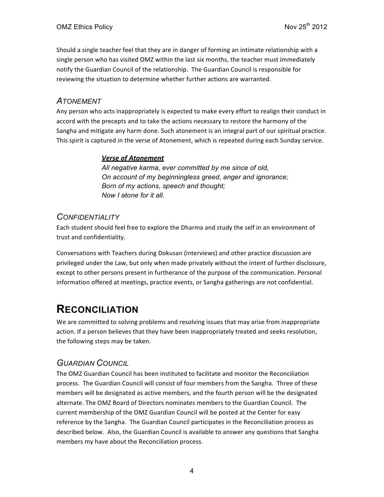Should a single teacher feel that they are in danger of forming an intimate relationship with a single person who has visited OMZ within the last six months, the teacher must immediately notify the Guardian Council of the relationship. The Guardian Council is responsible for reviewing the situation to determine whether further actions are warranted.

#### *ATONEMENT*

Any person who acts inappropriately is expected to make every effort to realign their conduct in accord with the precepts and to take the actions necessary to restore the harmony of the Sangha and mitigate any harm done. Such atonement is an integral part of our spiritual practice. This spirit is captured in the verse of Atonement, which is repeated during each Sunday service.

#### **Verse of Atonement**

*All negative karma, ever committed by me since of old, On account of my beginningless greed, anger and ignorance; Born of my actions, speech and thought; Now I atone for it all.*

#### *CONFIDENTIALITY*

Each student should feel free to explore the Dharma and study the self in an environment of trust and confidentiality.

Conversations with Teachers during Dokusan (interviews) and other practice discussion are privileged under the Law, but only when made privately without the intent of further disclosure, except to other persons present in furtherance of the purpose of the communication. Personal information offered at meetings, practice events, or Sangha gatherings are not confidential.

## **RECONCILIATION**

We are committed to solving problems and resolving issues that may arise from inappropriate action. If a person believes that they have been inappropriately treated and seeks resolution, the following steps may be taken.

#### *GUARDIAN COUNCIL*

The OMZ Guardian Council has been instituted to facilitate and monitor the Reconciliation process. The Guardian Council will consist of four members from the Sangha. Three of these members will be designated as active members, and the fourth person will be the designated alternate. The OMZ Board of Directors nominates members to the Guardian Council. The current membership of the OMZ Guardian Council will be posted at the Center for easy reference by the Sangha. The Guardian Council participates in the Reconciliation process as described below. Also, the Guardian Council is available to answer any questions that Sangha members my have about the Reconciliation process.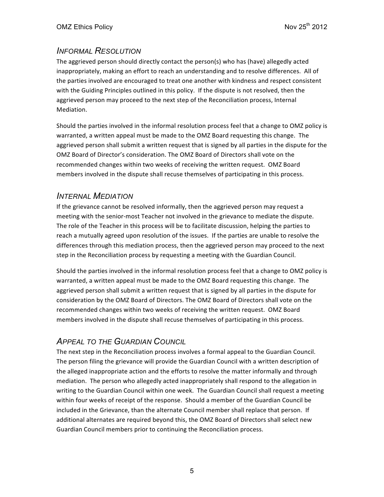#### *INFORMAL RESOLUTION*

The aggrieved person should directly contact the person(s) who has (have) allegedly acted inappropriately, making an effort to reach an understanding and to resolve differences. All of the parties involved are encouraged to treat one another with kindness and respect consistent with the Guiding Principles outlined in this policy. If the dispute is not resolved, then the aggrieved person may proceed to the next step of the Reconciliation process, Internal Mediation.

Should the parties involved in the informal resolution process feel that a change to OMZ policy is warranted, a written appeal must be made to the OMZ Board requesting this change. The aggrieved person shall submit a written request that is signed by all parties in the dispute for the OMZ Board of Director's consideration. The OMZ Board of Directors shall vote on the recommended changes within two weeks of receiving the written request. OMZ Board members involved in the dispute shall recuse themselves of participating in this process.

#### *INTERNAL MEDIATION*

If the grievance cannot be resolved informally, then the aggrieved person may request a meeting with the senior-most Teacher not involved in the grievance to mediate the dispute. The role of the Teacher in this process will be to facilitate discussion, helping the parties to reach a mutually agreed upon resolution of the issues. If the parties are unable to resolve the differences through this mediation process, then the aggrieved person may proceed to the next step in the Reconciliation process by requesting a meeting with the Guardian Council.

Should the parties involved in the informal resolution process feel that a change to OMZ policy is warranted, a written appeal must be made to the OMZ Board requesting this change. The aggrieved person shall submit a written request that is signed by all parties in the dispute for consideration by the OMZ Board of Directors. The OMZ Board of Directors shall vote on the recommended changes within two weeks of receiving the written request. OMZ Board members involved in the dispute shall recuse themselves of participating in this process.

#### *APPEAL TO THE GUARDIAN COUNCIL*

The next step in the Reconciliation process involves a formal appeal to the Guardian Council. The person filing the grievance will provide the Guardian Council with a written description of the alleged inappropriate action and the efforts to resolve the matter informally and through mediation. The person who allegedly acted inappropriately shall respond to the allegation in writing to the Guardian Council within one week. The Guardian Council shall request a meeting within four weeks of receipt of the response. Should a member of the Guardian Council be included in the Grievance, than the alternate Council member shall replace that person. If additional alternates are required beyond this, the OMZ Board of Directors shall select new Guardian Council members prior to continuing the Reconciliation process.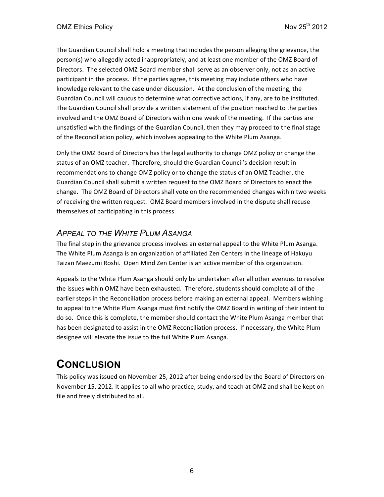The Guardian Council shall hold a meeting that includes the person alleging the grievance, the person(s) who allegedly acted inappropriately, and at least one member of the OMZ Board of Directors. The selected OMZ Board member shall serve as an observer only, not as an active participant in the process. If the parties agree, this meeting may include others who have knowledge relevant to the case under discussion. At the conclusion of the meeting, the Guardian Council will caucus to determine what corrective actions, if any, are to be instituted. The Guardian Council shall provide a written statement of the position reached to the parties involved and the OMZ Board of Directors within one week of the meeting. If the parties are unsatisfied with the findings of the Guardian Council, then they may proceed to the final stage of the Reconciliation policy, which involves appealing to the White Plum Asanga.

Only the OMZ Board of Directors has the legal authority to change OMZ policy or change the status of an OMZ teacher. Therefore, should the Guardian Council's decision result in recommendations to change OMZ policy or to change the status of an OMZ Teacher, the Guardian Council shall submit a written request to the OMZ Board of Directors to enact the change. The OMZ Board of Directors shall vote on the recommended changes within two weeks of receiving the written request. OMZ Board members involved in the dispute shall recuse themselves of participating in this process.

#### *APPEAL TO THE WHITE PLUM ASANGA*

The final step in the grievance process involves an external appeal to the White Plum Asanga. The White Plum Asanga is an organization of affiliated Zen Centers in the lineage of Hakuyu Taizan Maezumi Roshi. Open Mind Zen Center is an active member of this organization.

Appeals to the White Plum Asanga should only be undertaken after all other avenues to resolve the issues within OMZ have been exhausted. Therefore, students should complete all of the earlier steps in the Reconciliation process before making an external appeal. Members wishing to appeal to the White Plum Asanga must first notify the OMZ Board in writing of their intent to do so. Once this is complete, the member should contact the White Plum Asanga member that has been designated to assist in the OMZ Reconciliation process. If necessary, the White Plum designee will elevate the issue to the full White Plum Asanga.

## **CONCLUSION**

This policy was issued on November 25, 2012 after being endorsed by the Board of Directors on November 15, 2012. It applies to all who practice, study, and teach at OMZ and shall be kept on file and freely distributed to all.